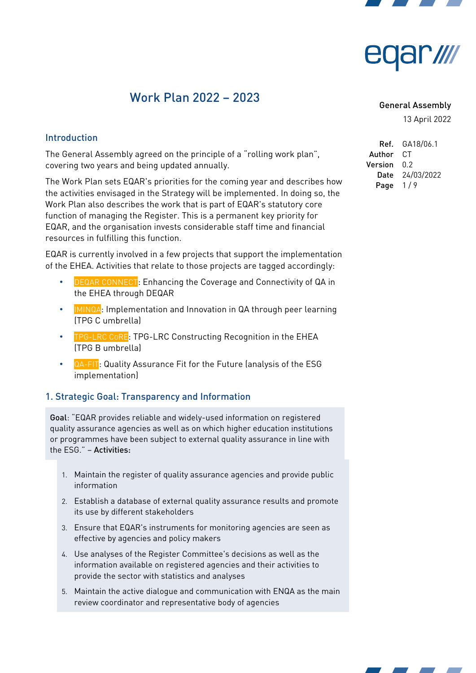



# Work Plan 2022 – 2023

#### General Assembly

13 April 2022

#### Introduction

The General Assembly agreed on the principle of a "rolling work plan", covering two years and being updated annually.

The Work Plan sets EQAR's priorities for the coming year and describes how the activities envisaged in the Strategy will be implemented. In doing so, the Work Plan also describes the work that is part of EQAR's statutory core function of managing the Register. This is a permanent key priority for EQAR, and the organisation invests considerable staff time and financial resources in fulfilling this function.

EQAR is currently involved in a few projects that support the implementation of the EHEA. Activities that relate to those projects are tagged accordingly:

- **DEQAR CONNECT:** Enhancing the Coverage and Connectivity of QA in the EHEA through DEQAR
- **IMINQA**: Implementation and Innovation in QA through peer learning (TPG C umbrella)
- **TPG-LRC CORE: TPG-LRC Constructing Recognition in the EHEA** (TPG B umbrella)
- QA-FIT: Quality Assurance Fit for the Future (analysis of the ESG implementation)

#### 1. Strategic Goal: Transparency and Information

Goal: "EQAR provides reliable and widely-used information on registered quality assurance agencies as well as on which higher education institutions or programmes have been subject to external quality assurance in line with the ESG." – Activities:

- 1. Maintain the register of quality assurance agencies and provide public information
- 2. Establish a database of external quality assurance results and promote its use by different stakeholders
- 3. Ensure that EQAR's instruments for monitoring agencies are seen as effective by agencies and policy makers
- 4. Use analyses of the Register Committee's decisions as well as the information available on registered agencies and their activities to provide the sector with statistics and analyses
- 5. Maintain the active dialogue and communication with ENQA as the main review coordinator and representative body of agencies

Ref. GA18/06.1 Author CT Version 0.2 Date 24/03/2022 Page  $1/9$ 

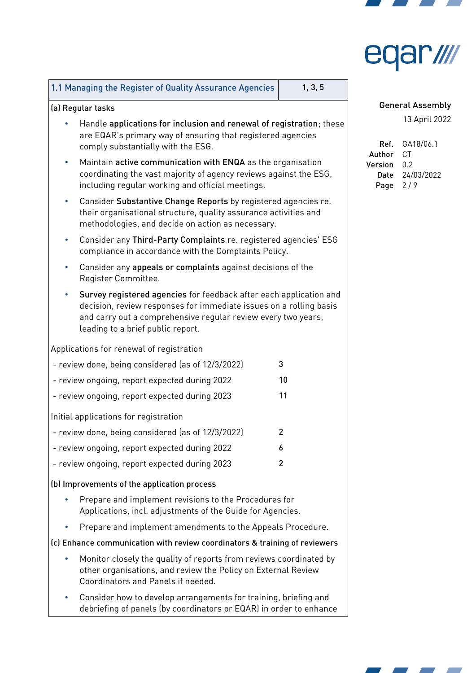

| edar <i>illi</i> |  |  |
|------------------|--|--|
|------------------|--|--|

┑

┱

|                                                                                                                                                                                                                                                | 1.1 Managing the Register of Quality Assurance Agencies                                                                                                                                 | 1, 3, 5 |  |  |  |
|------------------------------------------------------------------------------------------------------------------------------------------------------------------------------------------------------------------------------------------------|-----------------------------------------------------------------------------------------------------------------------------------------------------------------------------------------|---------|--|--|--|
| (a) Regular tasks                                                                                                                                                                                                                              |                                                                                                                                                                                         |         |  |  |  |
|                                                                                                                                                                                                                                                | Handle applications for inclusion and renewal of registration; these<br>are EQAR's primary way of ensuring that registered agencies<br>comply substantially with the ESG.               |         |  |  |  |
|                                                                                                                                                                                                                                                | Maintain active communication with ENQA as the organisation<br>coordinating the vast majority of agency reviews against the ESG,<br>including regular working and official meetings.    |         |  |  |  |
| $\bullet$                                                                                                                                                                                                                                      | Consider Substantive Change Reports by registered agencies re.<br>their organisational structure, quality assurance activities and<br>methodologies, and decide on action as necessary. |         |  |  |  |
| $\bullet$                                                                                                                                                                                                                                      | Consider any Third-Party Complaints re. registered agencies' ESG<br>compliance in accordance with the Complaints Policy.                                                                |         |  |  |  |
|                                                                                                                                                                                                                                                | Consider any appeals or complaints against decisions of the<br>Register Committee.                                                                                                      |         |  |  |  |
| Survey registered agencies for feedback after each application and<br>decision, review responses for immediate issues on a rolling basis<br>and carry out a comprehensive reqular review every two years,<br>leading to a brief public report. |                                                                                                                                                                                         |         |  |  |  |
|                                                                                                                                                                                                                                                | Applications for renewal of registration                                                                                                                                                |         |  |  |  |
|                                                                                                                                                                                                                                                | - review done, being considered (as of 12/3/2022)                                                                                                                                       | 3       |  |  |  |
|                                                                                                                                                                                                                                                | - review ongoing, report expected during 2022                                                                                                                                           | 10      |  |  |  |
|                                                                                                                                                                                                                                                | - review ongoing, report expected during 2023                                                                                                                                           | 11      |  |  |  |
|                                                                                                                                                                                                                                                | Initial applications for registration                                                                                                                                                   |         |  |  |  |
| - review done, being considered (as of 12/3/2022)<br>$\overline{2}$                                                                                                                                                                            |                                                                                                                                                                                         |         |  |  |  |
| - review ongoing, report expected during 2022<br>6                                                                                                                                                                                             |                                                                                                                                                                                         |         |  |  |  |
|                                                                                                                                                                                                                                                | - review ongoing, report expected during 2023                                                                                                                                           | 2       |  |  |  |
| (b) Improvements of the application process                                                                                                                                                                                                    |                                                                                                                                                                                         |         |  |  |  |
| Prepare and implement revisions to the Procedures for<br>Applications, incl. adjustments of the Guide for Agencies.                                                                                                                            |                                                                                                                                                                                         |         |  |  |  |
|                                                                                                                                                                                                                                                | Prepare and implement amendments to the Appeals Procedure.                                                                                                                              |         |  |  |  |
| (c) Enhance communication with review coordinators & training of reviewers                                                                                                                                                                     |                                                                                                                                                                                         |         |  |  |  |
|                                                                                                                                                                                                                                                | Monitor closely the quality of reports from reviews coordinated by<br>other organisations, and review the Policy on External Review<br>Coordinators and Panels if needed.               |         |  |  |  |
|                                                                                                                                                                                                                                                | Consider how to develop arrangements for training, briefing and<br>debriefing of panels (by coordinators or EQAR) in order to enhance                                                   |         |  |  |  |
|                                                                                                                                                                                                                                                |                                                                                                                                                                                         |         |  |  |  |

General Assembly

| Ref. .  | GA18/06.1  |
|---------|------------|
|         |            |
| Author  | C.T        |
| Version | በ 2        |
| Date    | 24/03/2022 |
| Page    | 2/9        |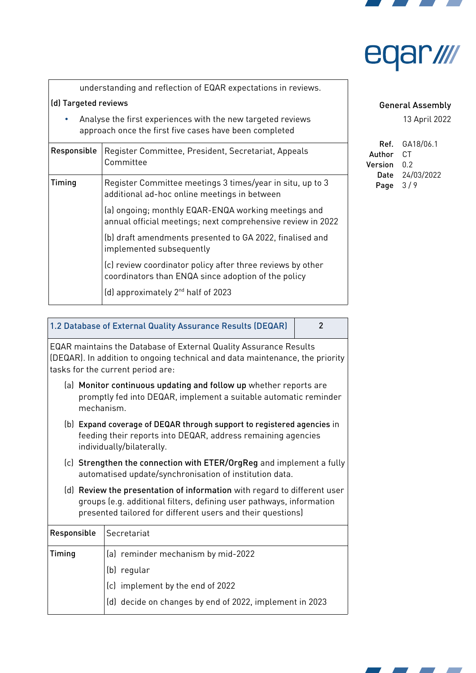

# ar*ılır*

| understanding and reflection of EQAR expectations in reviews.                                                         |  |
|-----------------------------------------------------------------------------------------------------------------------|--|
| (d) Targeted reviews                                                                                                  |  |
| Analyse the first experiences with the new targeted reviews<br>approach once the first five cases have been completed |  |
| Responsible   Register Committee, President, Secretariat, Appeals                                                     |  |

| <b>ITESPOITSINTS</b> | Register Committee, Fresident, Secretariat, Appeats<br>Committee                                                   |
|----------------------|--------------------------------------------------------------------------------------------------------------------|
| Timing               | Register Committee meetings 3 times/year in situ, up to 3<br>additional ad-hoc online meetings in between          |
|                      | (a) ongoing; monthly EQAR-ENQA working meetings and<br>annual official meetings; next comprehensive review in 2022 |
|                      | (b) draft amendments presented to GA 2022, finalised and<br>implemented subsequently                               |
|                      | (c) review coordinator policy after three reviews by other<br>coordinators than ENQA since adoption of the policy  |
|                      | (d) approximately $2^{nd}$ half of 2023                                                                            |

#### General Assembly

13 April 2022

| Ref. .  | GA18/06.1  |
|---------|------------|
| Author  | C.T        |
| Version | በ 2        |
| Date    | 24/03/2022 |
| Page    | 3/9        |

#### 1.2 Database of External Quality Assurance Results (DEQAR) | 2

EQAR maintains the Database of External Quality Assurance Results (DEQAR). In addition to ongoing technical and data maintenance, the priority tasks for the current period are:

- (a) Monitor continuous updating and follow up whether reports are promptly fed into DEQAR, implement a suitable automatic reminder mechanism.
- (b) Expand coverage of DEQAR through support to registered agencies in feeding their reports into DEQAR, address remaining agencies individually/bilaterally.
- (c) Strengthen the connection with ETER/OrgReg and implement a fully automatised update/synchronisation of institution data.
- (d) Review the presentation of information with regard to different user groups (e.g. additional filters, defining user pathways, information presented tailored for different users and their questions)

| Responsible | Secretariat                                             |
|-------------|---------------------------------------------------------|
| Timing      | (a) reminder mechanism by mid-2022                      |
|             | (b)<br>regular                                          |
|             | $(c)$ implement by the end of 2022                      |
|             | (d) decide on changes by end of 2022, implement in 2023 |

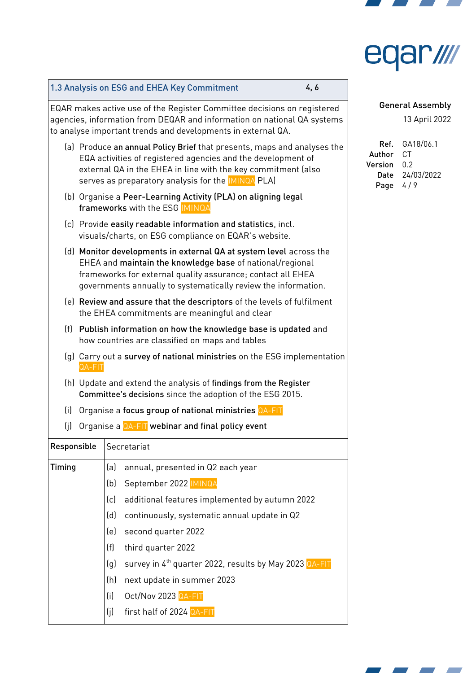

# eqar ///

|             |        |     | 1.3 Analysis on ESG and EHEA Key Commitment                                                                                                                                                                                                                            | 4,6 |                                           |                                 |
|-------------|--------|-----|------------------------------------------------------------------------------------------------------------------------------------------------------------------------------------------------------------------------------------------------------------------------|-----|-------------------------------------------|---------------------------------|
|             |        |     | EQAR makes active use of the Register Committee decisions on registered<br>agencies, information from DEQAR and information on national QA systems<br>to analyse important trends and developments in external QA.                                                     |     |                                           | <b>General A</b><br>13A         |
|             |        |     | (a) Produce an annual Policy Brief that presents, maps and analyses the<br>EQA activities of registered agencies and the development of<br>external QA in the EHEA in line with the key commitment (also<br>serves as preparatory analysis for the <b>IMINQA PLA</b> ) |     | Ref.<br>Author<br>Version<br>Date<br>Page | GA1<br>CT<br>0.2<br>24/0<br>4/9 |
|             |        |     | (b) Organise a Peer-Learning Activity (PLA) on aligning legal<br>frameworks with the ESG MINQA                                                                                                                                                                         |     |                                           |                                 |
|             |        |     | (c) Provide easily readable information and statistics, incl.<br>visuals/charts, on ESG compliance on EQAR's website.                                                                                                                                                  |     |                                           |                                 |
|             |        |     | (d) Monitor developments in external QA at system level across the<br>EHEA and maintain the knowledge base of national/regional<br>frameworks for external quality assurance; contact all EHEA<br>governments annually to systematically review the information.       |     |                                           |                                 |
|             |        |     | (e) Review and assure that the descriptors of the levels of fulfilment<br>the EHEA commitments are meaningful and clear                                                                                                                                                |     |                                           |                                 |
|             |        |     | (f) Publish information on how the knowledge base is updated and<br>how countries are classified on maps and tables                                                                                                                                                    |     |                                           |                                 |
|             | QA-FIT |     | (g) Carry out a survey of national ministries on the ESG implementation                                                                                                                                                                                                |     |                                           |                                 |
|             |        |     | (h) Update and extend the analysis of findings from the Register<br>Committee's decisions since the adoption of the ESG 2015.                                                                                                                                          |     |                                           |                                 |
| (i)         |        |     | Organise a focus group of national ministries QA-FIT                                                                                                                                                                                                                   |     |                                           |                                 |
| (j)         |        |     | Organise a QA-FIT webinar and final policy event                                                                                                                                                                                                                       |     |                                           |                                 |
| Responsible |        |     | Secretariat                                                                                                                                                                                                                                                            |     |                                           |                                 |
| Timing      |        | (a) | annual, presented in Q2 each year                                                                                                                                                                                                                                      |     |                                           |                                 |
|             |        | (b) | September 2022 IMINQA                                                                                                                                                                                                                                                  |     |                                           |                                 |
|             |        | (c) | additional features implemented by autumn 2022                                                                                                                                                                                                                         |     |                                           |                                 |
|             |        | (d) | continuously, systematic annual update in Q2                                                                                                                                                                                                                           |     |                                           |                                 |
|             |        | (e) | second quarter 2022                                                                                                                                                                                                                                                    |     |                                           |                                 |
|             |        | (f) | third quarter 2022                                                                                                                                                                                                                                                     |     |                                           |                                 |
|             |        | (q) | survey in 4 <sup>th</sup> quarter 2022, results by May 2023 QA-FIT                                                                                                                                                                                                     |     |                                           |                                 |
|             |        | (h) | next update in summer 2023                                                                                                                                                                                                                                             |     |                                           |                                 |
|             |        | (i) | Oct/Nov 2023 QA-FIT                                                                                                                                                                                                                                                    |     |                                           |                                 |
|             |        | (j) | first half of 2024 QA-FIT                                                                                                                                                                                                                                              |     |                                           |                                 |

**Assembly** 

13 April 2022

 $8/06.1$ 03/2022

7 **Contract Contract Contract Contract Contract Street**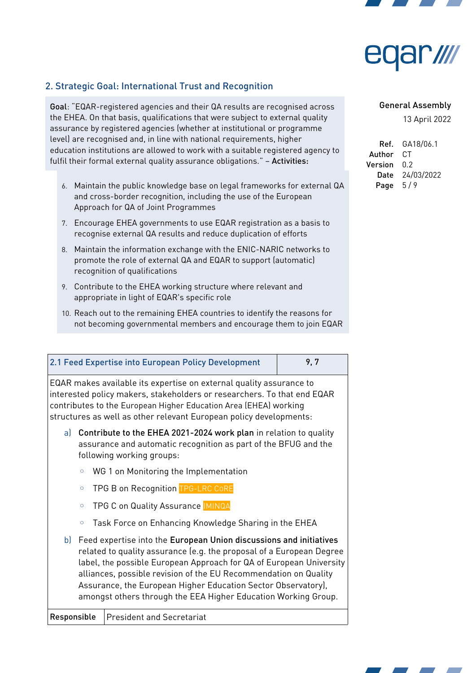



## 2. Strategic Goal: International Trust and Recognition

Goal: "EQAR-registered agencies and their QA results are recognised across the EHEA. On that basis, qualifications that were subject to external quality assurance by registered agencies (whether at institutional or programme level) are recognised and, in line with national requirements, higher education institutions are allowed to work with a suitable registered agency to fulfil their formal external quality assurance obligations." - Activities:

- 6. Maintain the public knowledge base on legal frameworks for external QA and cross-border recognition, including the use of the European Approach for QA of Joint Programmes
- 7. Encourage EHEA governments to use EQAR registration as a basis to recognise external QA results and reduce duplication of efforts
- 8. Maintain the information exchange with the ENIC-NARIC networks to promote the role of external QA and EQAR to support (automatic) recognition of qualifications
- 9. Contribute to the EHEA working structure where relevant and appropriate in light of EQAR's specific role
- 10. Reach out to the remaining EHEA countries to identify the reasons for not becoming governmental members and encourage them to join EQAR

|                                                                                                                                                                      | 2.1 Feed Expertise into European Policy Development                                                                                                                                                                                                                                                                                                                                                                      | 9,7 |  |  |
|----------------------------------------------------------------------------------------------------------------------------------------------------------------------|--------------------------------------------------------------------------------------------------------------------------------------------------------------------------------------------------------------------------------------------------------------------------------------------------------------------------------------------------------------------------------------------------------------------------|-----|--|--|
|                                                                                                                                                                      | EQAR makes available its expertise on external quality assurance to<br>interested policy makers, stakeholders or researchers. To that end EQAR<br>contributes to the European Higher Education Area (EHEA) working<br>structures as well as other relevant European policy developments:                                                                                                                                 |     |  |  |
| a) Contribute to the EHEA 2021-2024 work plan in relation to quality<br>assurance and automatic recognition as part of the BFUG and the<br>following working groups: |                                                                                                                                                                                                                                                                                                                                                                                                                          |     |  |  |
| WG 1 on Monitoring the Implementation<br>$\circ$                                                                                                                     |                                                                                                                                                                                                                                                                                                                                                                                                                          |     |  |  |
| TPG B on Recognition TPG-LRC CoRE<br>$\circ$                                                                                                                         |                                                                                                                                                                                                                                                                                                                                                                                                                          |     |  |  |
| TPG C on Quality Assurance IMINQA<br>$\circ$                                                                                                                         |                                                                                                                                                                                                                                                                                                                                                                                                                          |     |  |  |
| Task Force on Enhancing Knowledge Sharing in the EHEA<br>$\circ$                                                                                                     |                                                                                                                                                                                                                                                                                                                                                                                                                          |     |  |  |
| b)                                                                                                                                                                   | Feed expertise into the European Union discussions and initiatives<br>related to quality assurance (e.g. the proposal of a European Degree<br>label, the possible European Approach for QA of European University<br>alliances, possible revision of the EU Recommendation on Quality<br>Assurance, the European Higher Education Sector Observatory),<br>amongst others through the EEA Higher Education Working Group. |     |  |  |
| Responsible<br><b>President and Secretariat</b>                                                                                                                      |                                                                                                                                                                                                                                                                                                                                                                                                                          |     |  |  |

#### General Assembly

| Ref. .  | GA18/06.1  |
|---------|------------|
| Author  | C.T        |
| Version | በ 2        |
| Date    | 24/03/2022 |
| Page    | 5/9        |

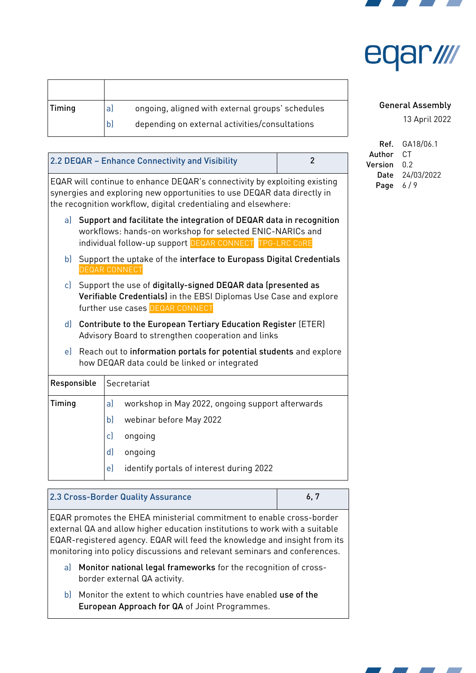

|  | edar //// |  |
|--|-----------|--|
|--|-----------|--|

| Timing | al           | ongoing, aligned with external groups' schedules |
|--------|--------------|--------------------------------------------------|
|        | $\mathsf{b}$ | depending on external activities/consultations   |

| $\overline{2}$<br>2.2 DEQAR - Enhance Connectivity and Visibility                                                                                                                                                      |                                                                                                                                                                                                |                                                                                                                           |  |
|------------------------------------------------------------------------------------------------------------------------------------------------------------------------------------------------------------------------|------------------------------------------------------------------------------------------------------------------------------------------------------------------------------------------------|---------------------------------------------------------------------------------------------------------------------------|--|
| EQAR will continue to enhance DEQAR's connectivity by exploiting existing<br>synergies and exploring new opportunities to use DEQAR data directly in<br>the recognition workflow, digital credentialing and elsewhere: |                                                                                                                                                                                                |                                                                                                                           |  |
|                                                                                                                                                                                                                        | a) Support and facilitate the integration of DEQAR data in recognition<br>workflows: hands-on workshop for selected ENIC-NARICs and<br>individual follow-up support DEQAR CONNECT TPG-LRC CORE |                                                                                                                           |  |
| Support the uptake of the interface to Europass Digital Credentials<br>b)<br><b>DEQAR CONNECT</b>                                                                                                                      |                                                                                                                                                                                                |                                                                                                                           |  |
| c) Support the use of digitally-signed DEQAR data (presented as<br>Verifiable Credentials) in the EBSI Diplomas Use Case and explore<br>further use cases DEQAR CONNECT                                                |                                                                                                                                                                                                |                                                                                                                           |  |
| Contribute to the European Tertiary Education Register (ETER)<br>d)<br>Advisory Board to strengthen cooperation and links                                                                                              |                                                                                                                                                                                                |                                                                                                                           |  |
| Reach out to information portals for potential students and explore<br>e)<br>how DEQAR data could be linked or integrated                                                                                              |                                                                                                                                                                                                |                                                                                                                           |  |
| Responsible<br>Secretariat                                                                                                                                                                                             |                                                                                                                                                                                                |                                                                                                                           |  |
| Timing                                                                                                                                                                                                                 |                                                                                                                                                                                                | a)<br>workshop in May 2022, ongoing support afterwards<br>b)<br>webinar before May 2022<br>c)<br>ongoing<br>d)<br>ongoing |  |
|                                                                                                                                                                                                                        |                                                                                                                                                                                                | e)<br>identify portals of interest during 2022                                                                            |  |

| 2.3 Cross-Border Quality Assurance |  |
|------------------------------------|--|
|------------------------------------|--|

EQAR promotes the EHEA ministerial commitment to enable cross-border external QA and allow higher education institutions to work with a suitable EQAR-registered agency. EQAR will feed the knowledge and insight from its monitoring into policy discussions and relevant seminars and conferences.

- a) Monitor national legal frameworks for the recognition of crossborder external QA activity.
- b) Monitor the extent to which countries have enabled use of the European Approach for QA of Joint Programmes.

#### General Assembly

| Ref. .  | GA18/06.1  |
|---------|------------|
| Author  | СT         |
| Version | በ 2        |
| Date    | 24/03/2022 |
| Page    | 619        |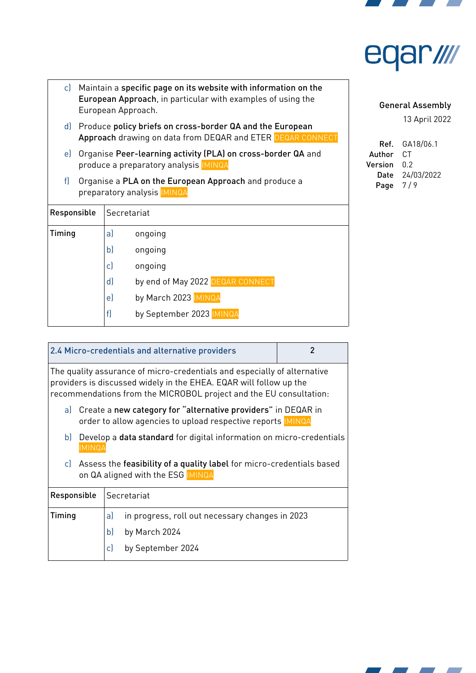



|             | c) Maintain a specific page on its website with information on the<br>European Approach, in particular with examples of using the<br>European Approach. |                                        |  |
|-------------|---------------------------------------------------------------------------------------------------------------------------------------------------------|----------------------------------------|--|
| d)          | Produce policy briefs on cross-border QA and the European<br>Approach drawing on data from DEQAR and ETER DEQAR CONNECT                                 |                                        |  |
| e)          | Organise Peer-learning activity (PLA) on cross-border QA and<br>produce a preparatory analysis <b>IMINQA</b>                                            |                                        |  |
| f           | Organise a PLA on the European Approach and produce a<br>preparatory analysis IMINQA                                                                    |                                        |  |
| Responsible |                                                                                                                                                         | Secretariat                            |  |
| Timing      |                                                                                                                                                         | a)<br>ongoing                          |  |
|             |                                                                                                                                                         | b)<br>ongoing                          |  |
|             |                                                                                                                                                         | c)<br>ongoing                          |  |
|             |                                                                                                                                                         | by end of May 2022 DEQAR CONNECT<br>d) |  |
|             |                                                                                                                                                         | by March 2023 MINQA<br>e)              |  |
|             |                                                                                                                                                         | f<br>by September 2023 IMINQA          |  |

General Assembly

| Ref.    | GA18/06.1  |
|---------|------------|
| Author  | C.T        |
| Version | በ 2        |
| Date    | 24/03/2022 |
| Page    | 7/9        |

| 2.4 Micro-credentials and alternative providers<br>2 |                                                                                                                                                                                                                      |  |  |
|------------------------------------------------------|----------------------------------------------------------------------------------------------------------------------------------------------------------------------------------------------------------------------|--|--|
|                                                      | The quality assurance of micro-credentials and especially of alternative<br>providers is discussed widely in the EHEA. EQAR will follow up the<br>recommendations from the MICROBOL project and the EU consultation: |  |  |
|                                                      | a) Create a new category for "alternative providers" in DEQAR in<br>order to allow agencies to upload respective reports IMINQA                                                                                      |  |  |
| b                                                    | Develop a <b>data standard</b> for digital information on micro-credentials<br><b>IMINQA</b>                                                                                                                         |  |  |
| c)                                                   | Assess the feasibility of a quality label for micro-credentials based<br>on QA aligned with the ESG IMINQA                                                                                                           |  |  |
| Responsible<br>Secretariat                           |                                                                                                                                                                                                                      |  |  |
| Timing                                               | in progress, roll out necessary changes in 2023<br>a)                                                                                                                                                                |  |  |
|                                                      | b)<br>by March 2024                                                                                                                                                                                                  |  |  |
|                                                      | c)<br>by September 2024                                                                                                                                                                                              |  |  |

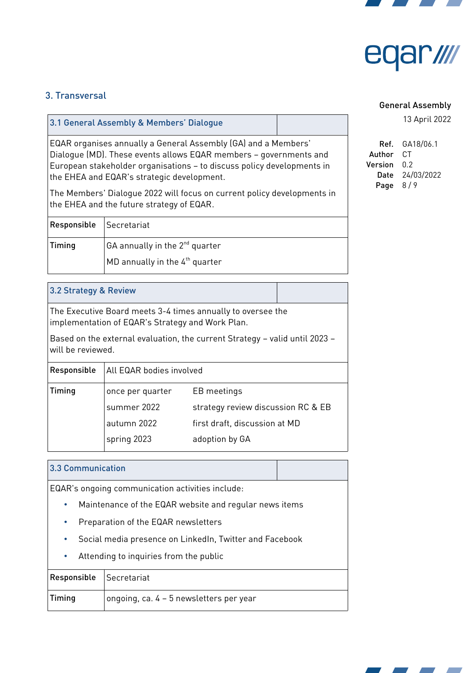



## 3. Transversal

| 3.1 General Assembly & Members' Dialogue                                                                                                                                                                                                                                  |  |
|---------------------------------------------------------------------------------------------------------------------------------------------------------------------------------------------------------------------------------------------------------------------------|--|
| EQAR organises annually a General Assembly (GA) and a Members'<br>Dialoque (MD). These events allows EQAR members – governments and<br>$ \mathsf{European}\;$ stakeholder organisations – to discuss policy developments in<br>the EHEA and EQAR's strategic development. |  |

The Members' Dialogue 2022 will focus on current policy developments in the EHEA and the future strategy of EQAR.

| Responsible | Secretariat                                        |
|-------------|----------------------------------------------------|
| Timing      | $ GA$ annually in the 2 <sup>nd</sup> quarter      |
|             | $\vert$ MD annually in the 4 <sup>th</sup> quarter |

#### 3.2 Strategy & Review

The Executive Board meets 3-4 times annually to oversee the implementation of EQAR's Strategy and Work Plan.

Based on the external evaluation, the current Strategy – valid until 2023 – will be reviewed.

| Responsible | All EQAR bodies involved |                                    |
|-------------|--------------------------|------------------------------------|
| Timing      | once per quarter         | EB meetings                        |
|             | summer 2022              | strategy review discussion RC & EB |
|             | autumn 2022              | first draft, discussion at MD      |
|             | spring 2023              | adoption by GA                     |

#### 3.3 Communication

EQAR's ongoing communication activities include:

- Maintenance of the EQAR website and regular news items
- Preparation of the EQAR newsletters
- Social media presence on LinkedIn, Twitter and Facebook
- Attending to inquiries from the public

| Responsible Secretariat |                                         |
|-------------------------|-----------------------------------------|
| Timing                  | ongoing, ca. 4 - 5 newsletters per year |

#### General Assembly

| Ref. .  | GA18/06.1  |
|---------|------------|
| Author  | C.T        |
| Version | በ 2        |
| Date    | 24/03/2022 |
| Page    | 8/9        |